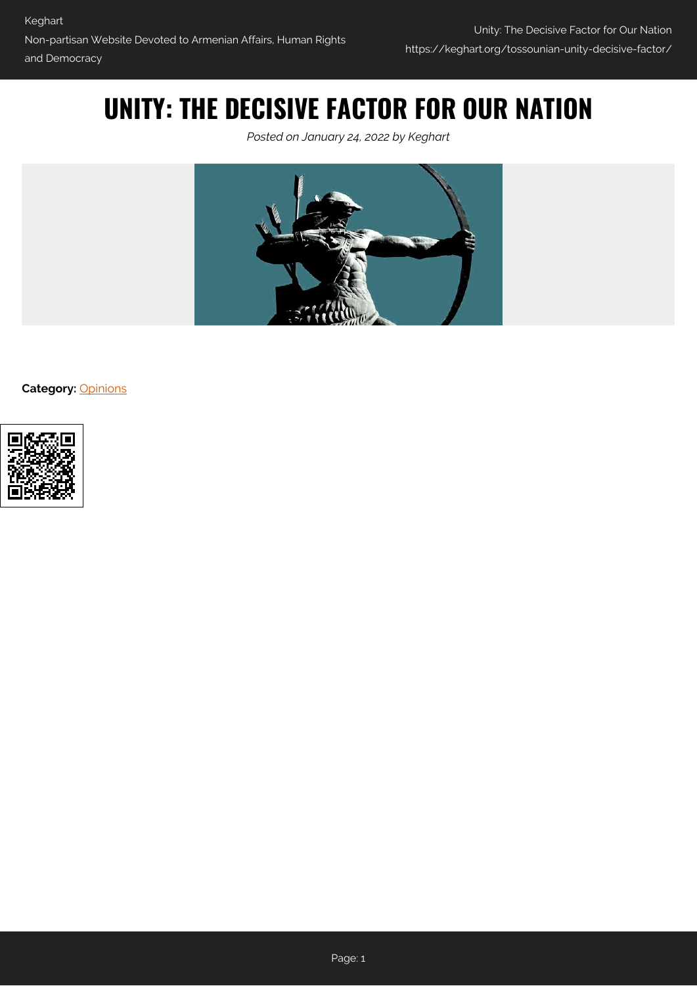## **UNITY: THE DECISIVE FACTOR FOR OUR NATION**

*Posted on January 24, 2022 by Keghart*



**Category:** [Opinions](https://keghart.org/category/opinions/)

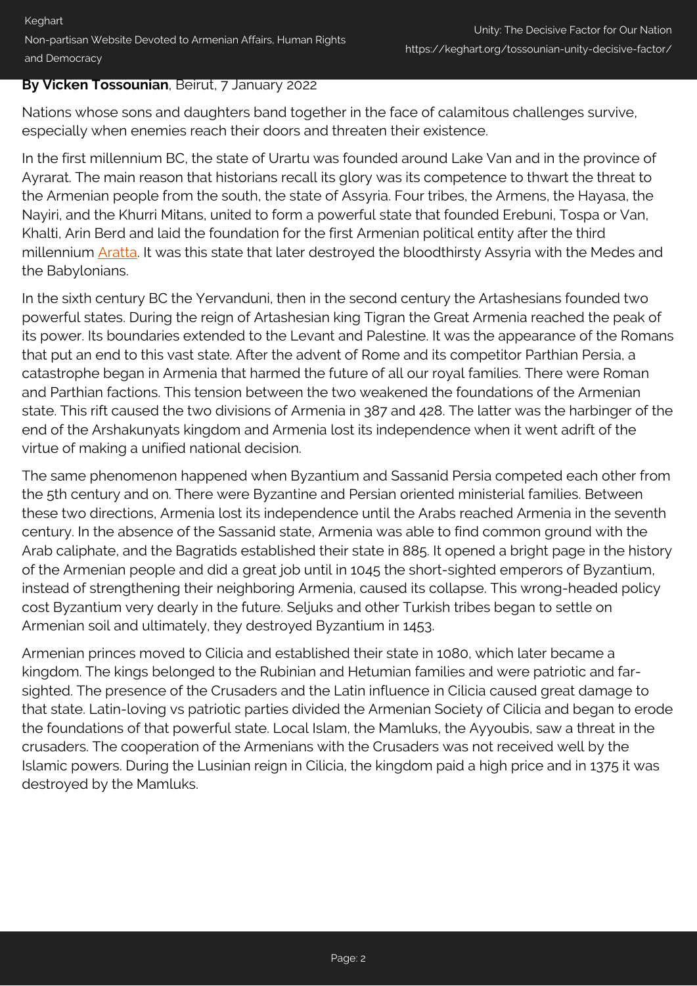## **By Vicken Tossounian**, Beirut, 7 January 2022

Nations whose sons and daughters band together in the face of calamitous challenges survive, especially when enemies reach their doors and threaten their existence.

In the first millennium BC, the state of Urartu was founded around Lake Van and in the province of Ayrarat. The main reason that historians recall its glory was its competence to thwart the threat to the Armenian people from the south, the state of Assyria. Four tribes, the Armens, the Hayasa, the Nayiri, and the Khurri Mitans, united to form a powerful state that founded Erebuni, Tospa or Van, Khalti, Arin Berd and laid the foundation for the first Armenian political entity after the third millennium [Aratta](https://en.wikipedia.org/wiki/Aratta). It was this state that later destroyed the bloodthirsty Assyria with the Medes and the Babylonians.

In the sixth century BC the Yervanduni, then in the second century the Artashesians founded two powerful states. During the reign of Artashesian king Tigran the Great Armenia reached the peak of its power. Its boundaries extended to the Levant and Palestine. It was the appearance of the Romans that put an end to this vast state. After the advent of Rome and its competitor Parthian Persia, a catastrophe began in Armenia that harmed the future of all our royal families. There were Roman and Parthian factions. This tension between the two weakened the foundations of the Armenian state. This rift caused the two divisions of Armenia in 387 and 428. The latter was the harbinger of the end of the Arshakunyats kingdom and Armenia lost its independence when it went adrift of the virtue of making a unified national decision.

The same phenomenon happened when Byzantium and Sassanid Persia competed each other from the 5th century and on. There were Byzantine and Persian oriented ministerial families. Between these two directions, Armenia lost its independence until the Arabs reached Armenia in the seventh century. In the absence of the Sassanid state, Armenia was able to find common ground with the Arab caliphate, and the Bagratids established their state in 885. It opened a bright page in the history of the Armenian people and did a great job until in 1045 the short-sighted emperors of Byzantium, instead of strengthening their neighboring Armenia, caused its collapse. This wrong-headed policy cost Byzantium very dearly in the future. Seljuks and other Turkish tribes began to settle on Armenian soil and ultimately, they destroyed Byzantium in 1453.

Armenian princes moved to Cilicia and established their state in 1080, which later became a kingdom. The kings belonged to the Rubinian and Hetumian families and were patriotic and farsighted. The presence of the Crusaders and the Latin influence in Cilicia caused great damage to that state. Latin-loving vs patriotic parties divided the Armenian Society of Cilicia and began to erode the foundations of that powerful state. Local Islam, the Mamluks, the Ayyoubis, saw a threat in the crusaders. The cooperation of the Armenians with the Crusaders was not received well by the Islamic powers. During the Lusinian reign in Cilicia, the kingdom paid a high price and in 1375 it was destroyed by the Mamluks.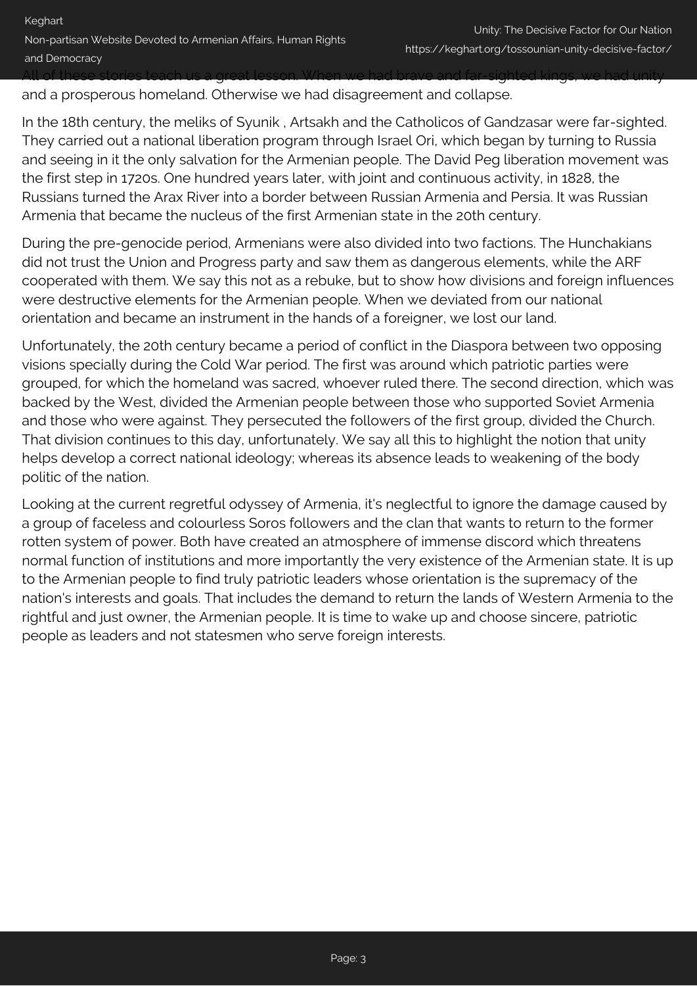and a prosperous homeland. Otherwise we had disagreement and collapse.

In the 18th century, the meliks of Syunik , Artsakh and the Catholicos of Gandzasar were far-sighted. They carried out a national liberation program through Israel Ori, which began by turning to Russia and seeing in it the only salvation for the Armenian people. The David Peg liberation movement was the first step in 1720s. One hundred years later, with joint and continuous activity, in 1828, the Russians turned the Arax River into a border between Russian Armenia and Persia. It was Russian Armenia that became the nucleus of the first Armenian state in the 20th century.

During the pre-genocide period, Armenians were also divided into two factions. The Hunchakians did not trust the Union and Progress party and saw them as dangerous elements, while the ARF cooperated with them. We say this not as a rebuke, but to show how divisions and foreign influences were destructive elements for the Armenian people. When we deviated from our national orientation and became an instrument in the hands of a foreigner, we lost our land.

Unfortunately, the 20th century became a period of conflict in the Diaspora between two opposing visions specially during the Cold War period. The first was around which patriotic parties were grouped, for which the homeland was sacred, whoever ruled there. The second direction, which was backed by the West, divided the Armenian people between those who supported Soviet Armenia and those who were against. They persecuted the followers of the first group, divided the Church. That division continues to this day, unfortunately. We say all this to highlight the notion that unity helps develop a correct national ideology; whereas its absence leads to weakening of the body politic of the nation.

Looking at the current regretful odyssey of Armenia, it's neglectful to ignore the damage caused by a group of faceless and colourless Soros followers and the clan that wants to return to the former rotten system of power. Both have created an atmosphere of immense discord which threatens normal function of institutions and more importantly the very existence of the Armenian state. It is up to the Armenian people to find truly patriotic leaders whose orientation is the supremacy of the nation's interests and goals. That includes the demand to return the lands of Western Armenia to the rightful and just owner, the Armenian people. It is time to wake up and choose sincere, patriotic people as leaders and not statesmen who serve foreign interests.